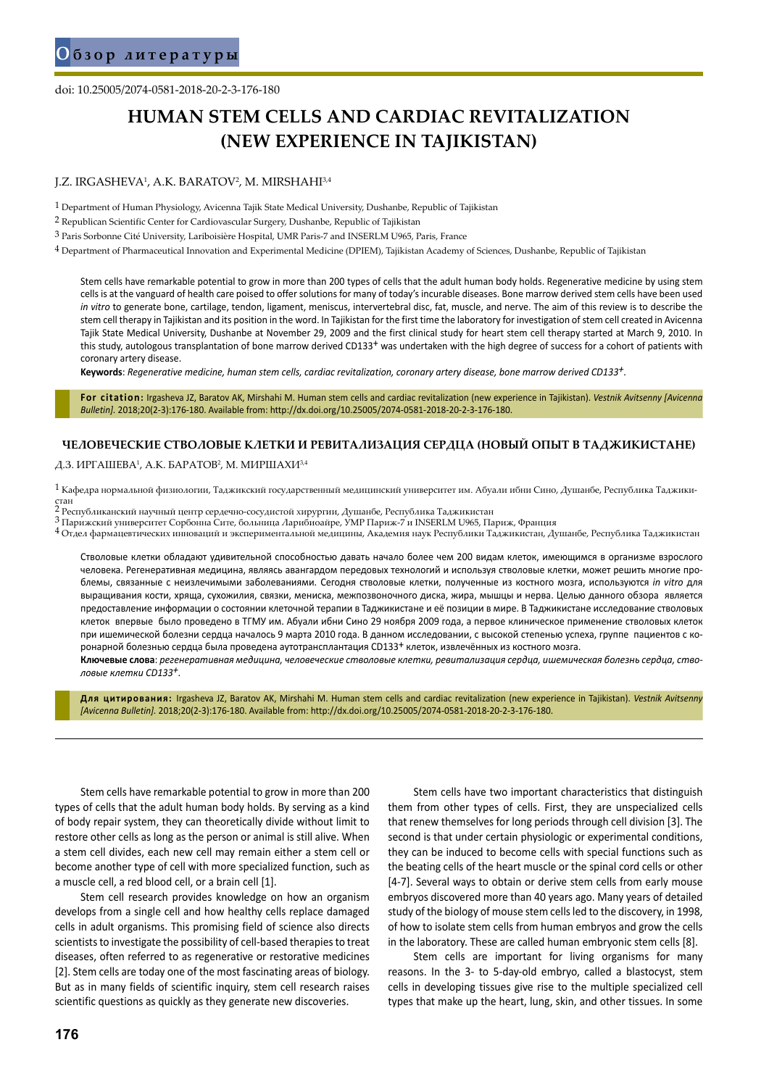doi: 10.25005/2074-0581-2018-20-2-3-176-180

# **HUMAN STEM CELLS AND CARDIAC REVITALIZATION (NEW EXPERIENCE IN TAJIKISTAN)**

#### J.Z. IRGASHEVA<sup>1</sup>, A.K. BARATOV<sup>2</sup>, M. MIRSHAHI<sup>3,4</sup>

1 Department of Human Physiology, Avicenna Tajik State Medical University, Dushanbe, Republic of Tajikistan

2 Republican Scientific Center for Cardiovascular Surgery, Dushanbe, Republic of Tajikistan

3 Paris Sorbonne Cité University, Lariboisière Hospital, UMR Paris-7 and INSERLM U965, Paris, France

4 Department of Pharmaceutical Innovation and Experimental Medicine (DPIEM), Tajikistan Academy of Sciences, Dushanbe, Republic of Tajikistan

Stem cells have remarkable potential to grow in more than 200 types of cells that the adult human body holds. Regenerative medicine by using stem cells is at the vanguard of health care poised to offer solutions for many of today's incurable diseases. Bone marrow derived stem cells have been used *in vitro* to generate bone, cartilage, tendon, ligament, meniscus, intervertebral disc, fat, muscle, and nerve. The aim of this review is to describe the stem cell therapy in Tajikistan and its position in the word. In Tajikistan for the first time the laboratory for investigation of stem cell created in Avicenna Tajik State Medical University, Dushanbe at November 29, 2009 and the first clinical study for heart stem cell therapy started at March 9, 2010. In this study, autologous transplantation of bone marrow derived CD133+ was undertaken with the high degree of success for a cohort of patients with coronary artery disease.

**Keywords**: *Regenerative medicine, human stem cells, cardiac revitalization, coronary artery disease, bone marrow derived CD133+.*

**For citation:** Irgasheva JZ, Baratov AK, Mirshahi M. Human stem cells and cardiac revitalization (new experience in Tajikistan). *Vestnik Avitsenny [Avicenna Bulletin].* 2018;20(2-3):176-180. Available from: http://dx.doi.org/10.25005/2074-0581-2018-20-2-3-176-180.

#### **ЧЕЛОВЕЧЕСКИЕ СТВОЛОВЫЕ КЛЕТКИ И РЕВИТАЛИЗАЦИЯ СЕРДЦА (НОВЫЙ ОПЫТ В ТАДЖИКИСТАНЕ)**

Д.З. ИРГАШЕВА<sup>1</sup>, А.К. БАРАТОВ<sup>2</sup>, М. МИРШАХИ<sup>3,4</sup>

1 Кафедра нормальной физиологии, Таджикский государственный медицинский университет им. Абуали ибни Сино, Душанбе, Республика Таджикистан<br>2 Республиканский научный центр сердечно-сосудистой хирургии, Душанбе, Республика Таджикистан

3 Парижский университет Сорбонна Сите, больница Ларибиоайре, УМР Париж-7 и INSERLM U965, Париж, Франция<br>4 Отдел фармацевтических инноваций и экспериментальной медицины, Академия наук Республики Таджикистан, Душанбе, Респу

Стволовые клетки обладают удивительной способностью давать начало более чем 200 видам клеток, имеющимся в организме взрослого человека. Регенеративная медицина, являясь авангардом передовых технологий и используя стволовые клетки, может решить многие проблемы, связанные с неизлечимыми заболеваниями. Сегодня стволовые клетки, полученные из костного мозга, используются *in vitro* для выращивания кости, хряща, сухожилия, связки, мениска, межпозвоночного диска, жира, мышцы и нерва. Целью данного обзора является предоставление информации о состоянии клеточной терапии в Таджикистане и её позиции в мире. В Таджикистане исследование стволовых клеток впервые было проведено в ТГМУ им. Абуали ибни Сино 29 ноября 2009 года, а первое клиническое применение стволовых клеток при ишемической болезни сердца началось 9 марта 2010 года. В данном исследовании, с высокой степенью успеха, группе пациентов с коронарной болезнью сердца была проведена аутотрансплантация CD133+ клеток, извлечённых из костного мозга.

**Ключевые слова**: *регенеративная медицина, человеческие стволовые клетки, ревитализация сердца, ишемическая болезнь сердца, стволовые клетки CD133+.*

**Для цитирования:** Irgasheva JZ, Baratov AK, Mirshahi M. Human stem cells and cardiac revitalization (new experience in Tajikistan). *Vestnik Avitsenny [Avicenna Bulletin].* 2018;20(2-3):176-180. Available from: http://dx.doi.org/10.25005/2074-0581-2018-20-2-3-176-180.

Stem cells have remarkable potential to grow in more than 200 types of cells that the adult human body holds. By serving as a kind of body repair system, they can theoretically divide without limit to restore other cells as long as the person or animal is still alive. When a stem cell divides, each new cell may remain either a stem cell or become another type of cell with more specialized function, such as a muscle cell, a red blood cell, or a brain cell [1].

Stem cell research provides knowledge on how an organism develops from a single cell and how healthy cells replace damaged cells in adult organisms. This promising field of science also directs scientists to investigate the possibility of cell-based therapies to treat diseases, often referred to as regenerative or restorative medicines [2]. Stem cells are today one of the most fascinating areas of biology. But as in many fields of scientific inquiry, stem cell research raises scientific questions as quickly as they generate new discoveries.

Stem cells have two important characteristics that distinguish them from other types of cells. First, they are unspecialized cells that renew themselves for long periods through cell division [3]. The second is that under certain physiologic or experimental conditions, they can be induced to become cells with special functions such as the beating cells of the heart muscle or the spinal cord cells or other [4-7]. Several ways to obtain or derive stem cells from early mouse embryos discovered more than 40 years ago. Many years of detailed study of the biology of mouse stem cells led to the discovery, in 1998, of how to isolate stem cells from human embryos and grow the cells in the laboratory. These are called human embryonic stem cells [8].

Stem cells are important for living organisms for many reasons. In the 3- to 5-day-old embryo, called a blastocyst, stem cells in developing tissues give rise to the multiple specialized cell types that make up the heart, lung, skin, and other tissues. In some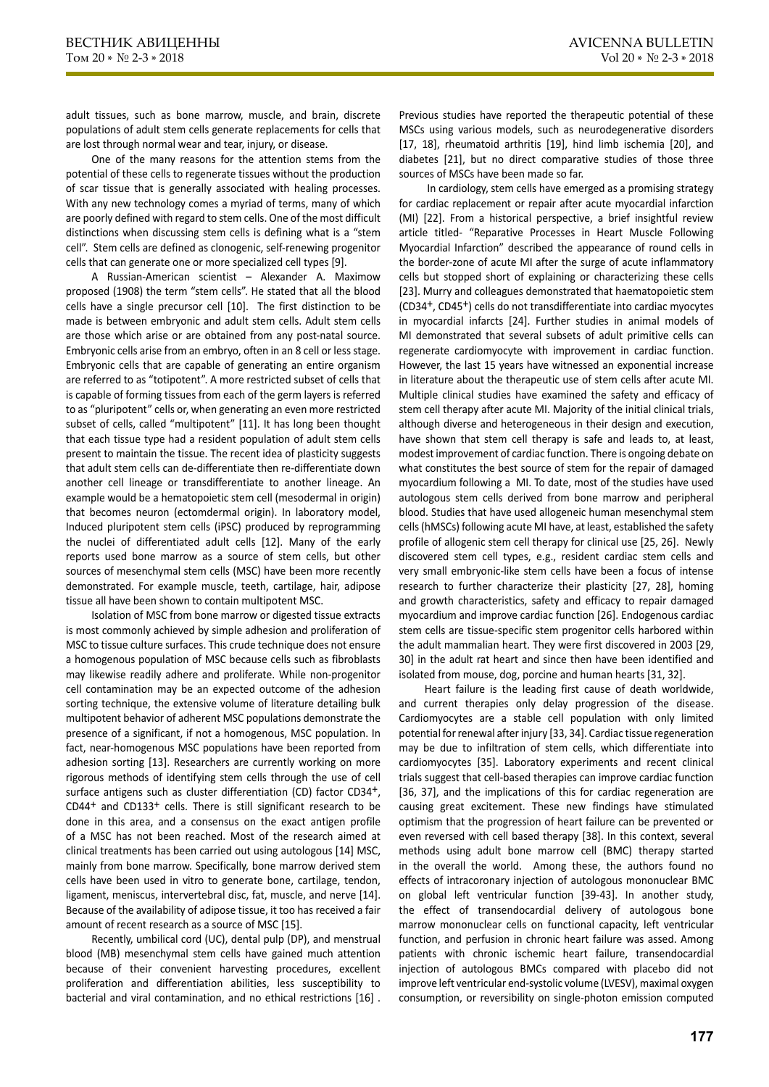adult tissues, such as bone marrow, muscle, and brain, discrete populations of adult stem cells generate replacements for cells that are lost through normal wear and tear, injury, or disease.

One of the many reasons for the attention stems from the potential of these cells to regenerate tissues without the production of scar tissue that is generally associated with healing processes. With any new technology comes a myriad of terms, many of which are poorly defined with regard to stem cells. One of the most difficult distinctions when discussing stem cells is defining what is a "stem cell". Stem cells are defined as clonogenic, self-renewing progenitor cells that can generate one or more specialized cell types [9].

A Russian-American scientist – Alexander A. Maximow proposed (1908) the term "stem cells". He stated that all the blood cells have a single precursor cell [10]. The first distinction to be made is between embryonic and adult stem cells. Adult stem cells are those which arise or are obtained from any post-natal source. Embryonic cells arise from an embryo, often in an 8 cell or less stage. Embryonic cells that are capable of generating an entire organism are referred to as "totipotent". A more restricted subset of cells that is capable of forming tissues from each of the germ layers is referred to as "pluripotent" cells or, when generating an even more restricted subset of cells, called "multipotent" [11]. It has long been thought that each tissue type had a resident population of adult stem cells present to maintain the tissue. The recent idea of plasticity suggests that adult stem cells can de-differentiate then re-differentiate down another cell lineage or transdifferentiate to another lineage. An example would be a hematopoietic stem cell (mesodermal in origin) that becomes neuron (ectomdermal origin). In laboratory model, Induced pluripotent stem cells (iPSC) produced by reprogramming the nuclei of differentiated adult cells [12]. Many of the early reports used bone marrow as a source of stem cells, but other sources of mesenchymal stem cells (MSC) have been more recently demonstrated. For example muscle, teeth, cartilage, hair, adipose tissue all have been shown to contain multipotent MSC.

Isolation of MSC from bone marrow or digested tissue extracts is most commonly achieved by simple adhesion and proliferation of MSC to tissue culture surfaces. This crude technique does not ensure a homogenous population of MSC because cells such as fibroblasts may likewise readily adhere and proliferate. While non-progenitor cell contamination may be an expected outcome of the adhesion sorting technique, the extensive volume of literature detailing bulk multipotent behavior of adherent MSC populations demonstrate the presence of a significant, if not a homogenous, MSC population. In fact, near-homogenous MSC populations have been reported from adhesion sorting [13]. Researchers are currently working on more rigorous methods of identifying stem cells through the use of cell surface antigens such as cluster differentiation (CD) factor CD34+, CD44+ and CD133+ cells. There is still significant research to be done in this area, and a consensus on the exact antigen profile of a MSC has not been reached. Most of the research aimed at clinical treatments has been carried out using autologous [14] MSC, mainly from bone marrow. Specifically, bone marrow derived stem cells have been used in vitro to generate bone, cartilage, tendon, ligament, meniscus, intervertebral disc, fat, muscle, and nerve [14]. Because of the availability of adipose tissue, it too has received a fair amount of recent research as a source of MSC [15].

Recently, umbilical cord (UC), dental pulp (DP), and menstrual blood (MB) mesenchymal stem cells have gained much attention because of their convenient harvesting procedures, excellent proliferation and differentiation abilities, less susceptibility to bacterial and viral contamination, and no ethical restrictions [16] .

Previous studies have reported the therapeutic potential of these MSCs using various models, such as neurodegenerative disorders [17, 18], rheumatoid arthritis [19], hind limb ischemia [20], and diabetes [21], but no direct comparative studies of those three sources of MSCs have been made so far.

 In cardiology, stem cells have emerged as a promising strategy for cardiac replacement or repair after acute myocardial infarction (MI) [22]. From a historical perspective, a brief insightful review article titled- "Reparative Processes in Heart Muscle Following Myocardial Infarction" described the appearance of round cells in the border-zone of acute MI after the surge of acute inflammatory cells but stopped short of explaining or characterizing these cells [23]. Murry and colleagues demonstrated that haematopoietic stem (CD34+, CD45+) cells do not transdifferentiate into cardiac myocytes in myocardial infarcts [24]. Further studies in animal models of MI demonstrated that several subsets of adult primitive cells can regenerate cardiomyocyte with improvement in cardiac function. However, the last 15 years have witnessed an exponential increase in literature about the therapeutic use of stem cells after acute MI. Multiple clinical studies have examined the safety and efficacy of stem cell therapy after acute MI. Majority of the initial clinical trials, although diverse and heterogeneous in their design and execution, have shown that stem cell therapy is safe and leads to, at least, modest improvement of cardiac function. There is ongoing debate on what constitutes the best source of stem for the repair of damaged myocardium following a MI. To date, most of the studies have used autologous stem cells derived from bone marrow and peripheral blood. Studies that have used allogeneic human mesenchymal stem cells (hMSCs) following acute MI have, at least, established the safety profile of allogenic stem cell therapy for clinical use [25, 26]. Newly discovered stem cell types, e.g., resident cardiac stem cells and very small embryonic-like stem cells have been a focus of intense research to further characterize their plasticity [27, 28], homing and growth characteristics, safety and efficacy to repair damaged myocardium and improve cardiac function [26]. Endogenous cardiac stem cells are tissue-specific stem progenitor cells harbored within the adult mammalian heart. They were first discovered in 2003 [29, 30] in the adult rat heart and since then have been identified and isolated from mouse, dog, porcine and human hearts [31, 32].

Heart failure is the leading first cause of death worldwide, and current therapies only delay progression of the disease. Cardiomyocytes are a stable cell population with only limited potential for renewal after injury [33, 34]. Cardiac tissue regeneration may be due to infiltration of stem cells, which differentiate into cardiomyocytes [35]. Laboratory experiments and recent clinical trials suggest that cell-based therapies can improve cardiac function [36, 37], and the implications of this for cardiac regeneration are causing great excitement. These new findings have stimulated optimism that the progression of heart failure can be prevented or even reversed with cell based therapy [38]. In this context, several methods using adult bone marrow cell (BMC) therapy started in the overall the world. Among these, the authors found no effects of intracoronary injection of autologous mononuclear BMC on global left ventricular function [39-43]. In another study, the effect of transendocardial delivery of autologous bone marrow mononuclear cells on functional capacity, left ventricular function, and perfusion in chronic heart failure was assed. Among patients with chronic ischemic heart failure, transendocardial injection of autologous BMCs compared with placebo did not improve left ventricular end-systolic volume (LVESV), maximal oxygen consumption, or reversibility on single-photon emission computed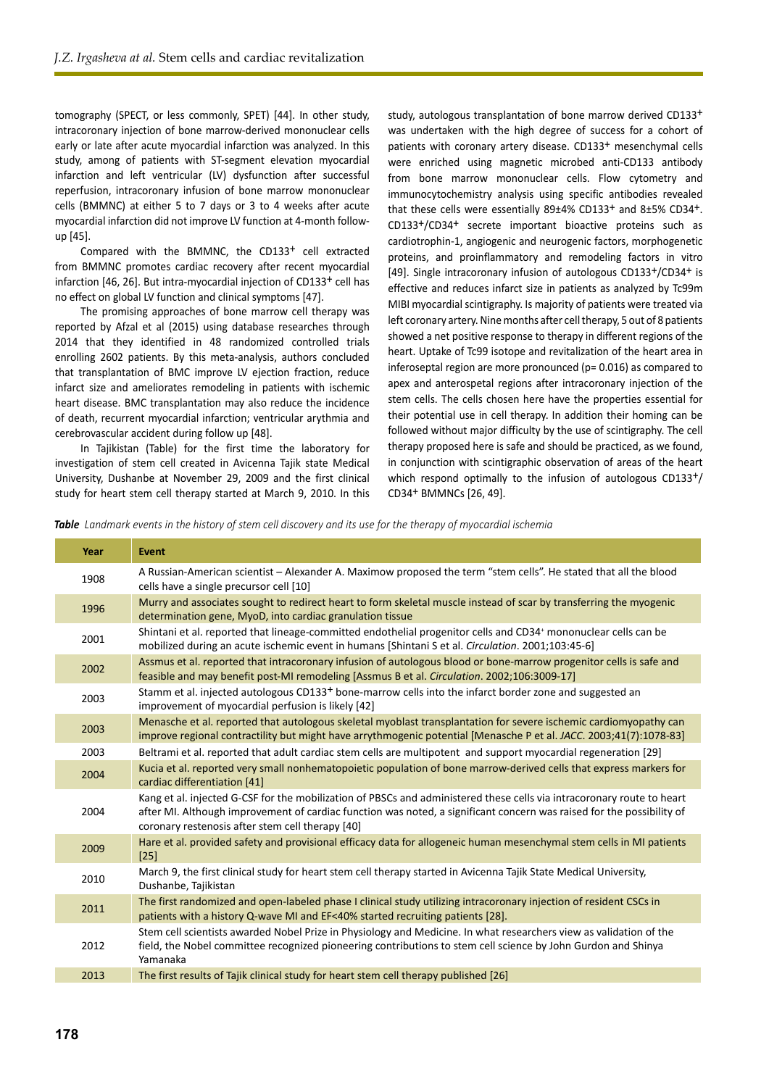tomography (SPECT, or less commonly, SPET) [44]. In other study, intracoronary injection of bone marrow-derived mononuclear cells early or late after acute myocardial infarction was analyzed. In this study, among of patients with ST-segment elevation myocardial infarction and left ventricular (LV) dysfunction after successful reperfusion, intracoronary infusion of bone marrow mononuclear cells (BMMNC) at either 5 to 7 days or 3 to 4 weeks after acute myocardial infarction did not improve LV function at 4-month followup [45].

Compared with the BMMNC, the CD133+ cell extracted from BMMNC promotes cardiac recovery after recent myocardial infarction [46, 26]. But intra-myocardial injection of CD133+ cell has no effect on global LV function and clinical symptoms [47].

The promising approaches of bone marrow cell therapy was reported by Afzal et al (2015) using database researches through 2014 that they identified in 48 randomized controlled trials enrolling 2602 patients. By this meta-analysis, authors concluded that transplantation of BMC improve LV ejection fraction, reduce infarct size and ameliorates remodeling in patients with ischemic heart disease. BMC transplantation may also reduce the incidence of death, recurrent myocardial infarction; ventricular arythmia and cerebrovascular accident during follow up [48].

In Tajikistan (Table) for the first time the laboratory for investigation of stem cell created in Avicenna Tajik state Medical University, Dushanbe at November 29, 2009 and the first clinical study for heart stem cell therapy started at March 9, 2010. In this

study, autologous transplantation of bone marrow derived CD133+ was undertaken with the high degree of success for a cohort of patients with coronary artery disease. CD133<sup>+</sup> mesenchymal cells were enriched using magnetic microbed anti-CD133 antibody from bone marrow mononuclear cells. Flow cytometry and immunocytochemistry analysis using specific antibodies revealed that these cells were essentially 89±4% CD133+ and 8±5% CD34+. CD133+/CD34+ secrete important bioactive proteins such as cardiotrophin-1, angiogenic and neurogenic factors, morphogenetic proteins, and proinflammatory and remodeling factors in vitro [49]. Single intracoronary infusion of autologous CD133+/CD34+ is effective and reduces infarct size in patients as analyzed by Tc99m MIBI myocardial scintigraphy. Is majority of patients were treated via left coronary artery. Nine months after cell therapy, 5 out of 8 patients showed a net positive response to therapy in different regions of the heart. Uptake of Tc99 isotope and revitalization of the heart area in inferoseptal region are more pronounced (p= 0.016) as compared to apex and anterospetal regions after intracoronary injection of the stem cells. The cells chosen here have the properties essential for their potential use in cell therapy. In addition their homing can be followed without major difficulty by the use of scintigraphy. The cell therapy proposed here is safe and should be practiced, as we found, in conjunction with scintigraphic observation of areas of the heart which respond optimally to the infusion of autologous CD133<sup>+</sup>/ CD34+ BMMNCs [26, 49].

*Table Landmark events in the history of stem cell discovery and its use for the therapy of myocardial ischemia*

|  | Year | <b>Event</b>                                                                                                                                                                                                                                                                                        |
|--|------|-----------------------------------------------------------------------------------------------------------------------------------------------------------------------------------------------------------------------------------------------------------------------------------------------------|
|  | 1908 | A Russian-American scientist – Alexander A. Maximow proposed the term "stem cells". He stated that all the blood<br>cells have a single precursor cell [10]                                                                                                                                         |
|  | 1996 | Murry and associates sought to redirect heart to form skeletal muscle instead of scar by transferring the myogenic<br>determination gene, MyoD, into cardiac granulation tissue                                                                                                                     |
|  | 2001 | Shintani et al. reported that lineage-committed endothelial progenitor cells and CD34 <sup>+</sup> mononuclear cells can be<br>mobilized during an acute ischemic event in humans [Shintani S et al. Circulation. 2001;103:45-6]                                                                    |
|  | 2002 | Assmus et al. reported that intracoronary infusion of autologous blood or bone-marrow progenitor cells is safe and<br>feasible and may benefit post-MI remodeling [Assmus B et al. Circulation. 2002;106:3009-17]                                                                                   |
|  | 2003 | Stamm et al. injected autologous CD133 <sup>+</sup> bone-marrow cells into the infarct border zone and suggested an<br>improvement of myocardial perfusion is likely [42]                                                                                                                           |
|  | 2003 | Menasche et al. reported that autologous skeletal myoblast transplantation for severe ischemic cardiomyopathy can<br>improve regional contractility but might have arrythmogenic potential [Menasche P et al. JACC. 2003;41(7):1078-83]                                                             |
|  | 2003 | Beltrami et al. reported that adult cardiac stem cells are multipotent and support myocardial regeneration [29]                                                                                                                                                                                     |
|  | 2004 | Kucia et al. reported very small nonhematopoietic population of bone marrow-derived cells that express markers for<br>cardiac differentiation [41]                                                                                                                                                  |
|  | 2004 | Kang et al. injected G-CSF for the mobilization of PBSCs and administered these cells via intracoronary route to heart<br>after MI. Although improvement of cardiac function was noted, a significant concern was raised for the possibility of<br>coronary restenosis after stem cell therapy [40] |
|  | 2009 | Hare et al. provided safety and provisional efficacy data for allogeneic human mesenchymal stem cells in MI patients<br>$[25]$                                                                                                                                                                      |
|  | 2010 | March 9, the first clinical study for heart stem cell therapy started in Avicenna Tajik State Medical University,<br>Dushanbe, Tajikistan                                                                                                                                                           |
|  | 2011 | The first randomized and open-labeled phase I clinical study utilizing intracoronary injection of resident CSCs in<br>patients with a history Q-wave MI and EF<40% started recruiting patients [28].                                                                                                |
|  | 2012 | Stem cell scientists awarded Nobel Prize in Physiology and Medicine. In what researchers view as validation of the<br>field, the Nobel committee recognized pioneering contributions to stem cell science by John Gurdon and Shinya<br>Yamanaka                                                     |
|  | 2013 | The first results of Tajik clinical study for heart stem cell therapy published [26]                                                                                                                                                                                                                |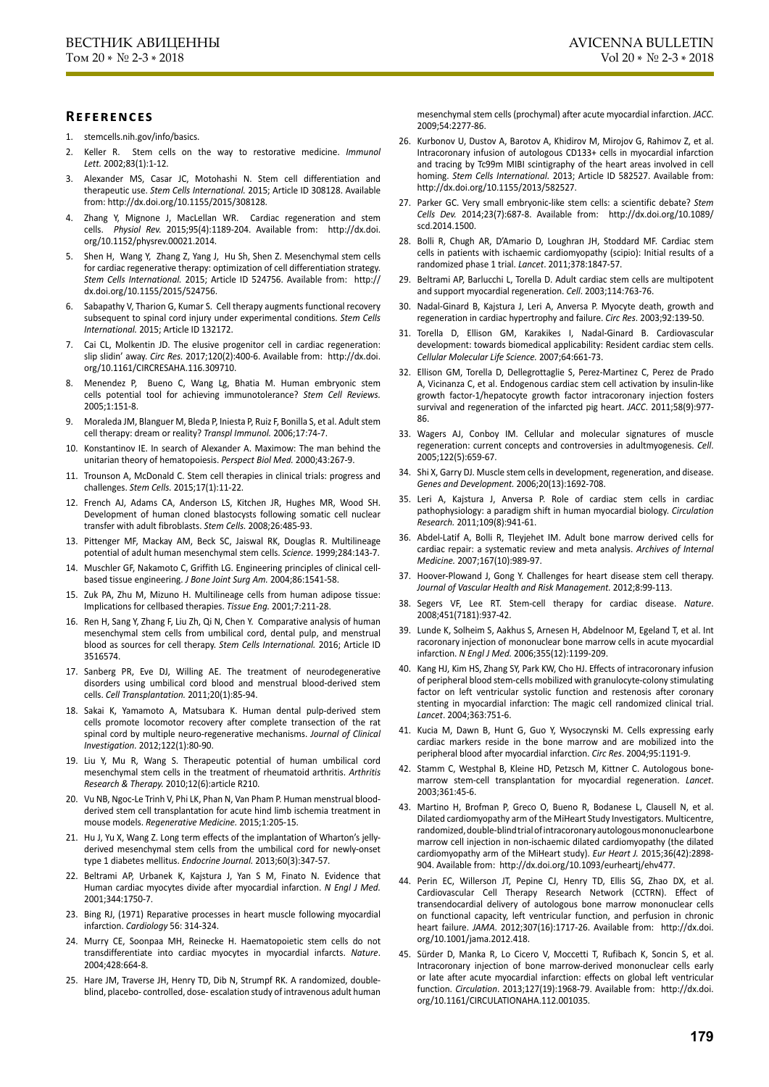#### **References**

- 1. stemcells.nih.gov/info/basics.
- 2. Keller R. Stem cells on the way to restorative medicine. *Immunol Lett.* 2002;83(1):1-12.
- Alexander MS, Casar JC, Motohashi N. Stem cell differentiation and therapeutic use. *Stem Cells International.* 2015; Article ID 308128. Available from: http://dx.doi.org/10.1155/2015/308128.
- 4. Zhang Y, Mignone J, MacLellan WR. Cardiac regeneration and stem cells. *Physiol Rev.* 2015;95(4):1189-204. Available from: http://dx.doi. org/10.1152/physrev.00021.2014.
- 5. Shen H, Wang Y, Zhang Z, Yang J, Hu Sh, Shen Z. Mesenchymal stem cells for cardiac regenerative therapy: optimization of cell differentiation strategy. *Stem Cells International.* 2015; Article ID 524756. Available from: http:// dx.doi.org/10.1155/2015/524756.
- 6. Sabapathy V, Tharion G, Kumar S. Cell therapy augments functional recovery subsequent to spinal cord injury under experimental conditions. *Stem Cells International.* 2015; Article ID 132172.
- 7. Cai CL, Molkentin JD. The elusive progenitor cell in cardiac regeneration: slip slidin' away. *Circ Res.* 2017;120(2):400-6. Available from: http://dx.doi. org/10.1161/CIRCRESAHA.116.309710.
- Menendez P, Bueno C, Wang Lg, Bhatia M. Human embryonic stem cells potential tool for achieving immunotolerance? *Stem Cell Reviews.*  2005;1:151-8.
- 9. Moraleda JM, Blanguer M, Bleda P, Iniesta P, Ruiz F, Bonilla S, et al. Adult stem cell therapy: dream or reality? *Transpl Immunol.* 2006;17:74-7.
- 10. Konstantinov IE. In search of Alexander A. Maximow: The man behind the unitarian theory of hematopoiesis. *Perspect Biol Med.* 2000;43:267-9.
- 11. Trounson A, McDonald C. Stem cell therapies in clinical trials: progress and challenges. *Stem Cells.* 2015;17(1):11-22.
- 12. French AJ, Adams CA, Anderson LS, Kitchen JR, Hughes MR, Wood SH. Development of human cloned blastocysts following somatic cell nuclear transfer with adult fibroblasts. *Stem Cells.* 2008;26:485-93.
- 13. Pittenger MF, Mackay AM, Beck SC, Jaiswal RK, Douglas R. Multilineage potential of adult human mesenchymal stem cells. *Science.* 1999;284:143-7.
- 14. Muschler GF, Nakamoto C, Griffith LG. Engineering principles of clinical cellbased tissue engineering. *J Bone Joint Surg Am.* 2004;86:1541-58.
- 15. Zuk PA, Zhu M, Mizuno H. Multilineage cells from human adipose tissue: Implications for cellbased therapies. *Tissue Eng.* 2001;7:211-28.
- 16. Ren H, Sang Y, Zhang F, Liu Zh, Qi N, Chen Y. Comparative analysis of human mesenchymal stem cells from umbilical cord, dental pulp, and menstrual blood as sources for cell therapy. *Stem Cells International.* 2016; Article ID 3516574.
- 17. Sanberg PR, Eve DJ, Willing AE. The treatment of neurodegenerative disorders using umbilical cord blood and menstrual blood-derived stem cells. *Cell Transplantation.* 2011;20(1):85-94.
- 18. Sakai K, Yamamoto A, Matsubara K. Human dental pulp-derived stem cells promote locomotor recovery after complete transection of the rat spinal cord by multiple neuro-regenerative mechanisms. *Journal of Clinical Investigation.* 2012;122(1):80-90.
- 19. Liu Y, Mu R, Wang S. Therapeutic potential of human umbilical cord mesenchymal stem cells in the treatment of rheumatoid arthritis. *Arthritis Research & Therapy.* 2010;12(6):article R210.
- 20. Vu NB, Ngoc-Le Trinh V, Phi LK, Phan N, Van Pham P. Human menstrual bloodderived stem cell transplantation for acute hind limb ischemia treatment in mouse models. *Regenerative Medicine.* 2015;1:205-15.
- 21. Hu J, Yu X, Wang Z. Long term effects of the implantation of Wharton's jellyderived mesenchymal stem cells from the umbilical cord for newly-onset type 1 diabetes mellitus. *Endocrine Journal.* 2013;60(3):347-57.
- 22. Beltrami AP, Urbanek K, Kajstura J, Yan S M, Finato N. Evidence that Human cardiac myocytes divide after myocardial infarction. *N Engl J Med.*  2001;344:1750-7.
- 23. Bing RJ, (1971) Reparative processes in heart muscle following myocardial infarction. *Cardiology* 56: 314-324.
- 24. Murry CE, Soonpaa MH, Reinecke H. Haematopoietic stem cells do not transdifferentiate into cardiac myocytes in myocardial infarcts. *Nature*. 2004;428:664-8.
- 25. Hare JM, Traverse JH, Henry TD, Dib N, Strumpf RK. A randomized, doubleblind, placebo- controlled, dose- escalation study of intravenous adult human

mesenchymal stem cells (prochymal) after acute myocardial infarction. *JACC*. 2009;54:2277-86.

- 26. Kurbonov U, Dustov A, Barotov A, Khidirov M, Mirojov G, Rahimov Z, et al. Intracoronary infusion of autologous CD133+ cells in myocardial infarction and tracing by Tc99m MIBI scintigraphy of the heart areas involved in cell homing. *Stem Cells International.* 2013; Article ID 582527. Available from: http://dx.doi.org/10.1155/2013/582527.
- 27. Parker GC. Very small embryonic-like stem cells: a scientific debate? *Stem Cells Dev.* 2014;23(7):687-8. Available from: http://dx.doi.org/10.1089/ scd.2014.1500.
- 28. Bolli R, Chugh AR, D'Amario D, Loughran JH, Stoddard MF. Cardiac stem cells in patients with ischaemic cardiomyopathy (scipio): Initial results of a randomized phase 1 trial. *Lancet*. 2011;378:1847-57.
- 29. Beltrami AP, Barlucchi L, Torella D. Adult cardiac stem cells are multipotent and support myocardial regeneration. *Cell*. 2003;114:763-76.
- 30. Nadal-Ginard B, Kajstura J, Leri A, Anversa P. Myocyte death, growth and regeneration in cardiac hypertrophy and failure. *Circ Res*. 2003;92:139-50.
- 31. Torella D, Ellison GM, Karakikes I, Nadal-Ginard B. Cardiovascular development: towards biomedical applicability: Resident cardiac stem cells. *Cellular Molecular Life Science.* 2007;64:661-73.
- 32. Ellison GM, Torella D, Dellegrottaglie S, Perez-Martinez C, Perez de Prado A, Vicinanza C, et al. Endogenous cardiac stem cell activation by insulin-like growth factor-1/hepatocyte growth factor intracoronary injection fosters survival and regeneration of the infarcted pig heart. *JACC*. 2011;58(9):977- 86.
- 33. Wagers AJ, Conboy IM. Cellular and molecular signatures of muscle regeneration: current concepts and controversies in adultmyogenesis. *Cell*. 2005;122(5):659-67.
- 34. Shi X, Garry DJ. Muscle stem cells in development, regeneration, and disease. *Genes and Development.* 2006;20(13):1692-708.
- 35. Leri A, Kajstura J, Anversa P. Role of cardiac stem cells in cardiac pathophysiology: a paradigm shift in human myocardial biology. *Circulation Research.* 2011;109(8):941-61.
- 36. Abdel-Latif A, Bolli R, Tleyjehet IM. Adult bone marrow derived cells for cardiac repair: a systematic review and meta analysis. *Archives of Internal Medicine.* 2007;167(10):989-97.
- 37. Hoover-Plowand J, Gong Y. Challenges for heart disease stem cell therapy. *Journal of Vascular Health and Risk Management.* 2012;8:99-113.
- 38. Segers VF, Lee RT. Stem-cell therapy for cardiac disease. *Nature*. 2008;451(7181):937-42.
- 39. Lunde K, Solheim S, Aakhus S, Arnesen H, Abdelnoor M, Egeland T, et al. Int racoronary injection of mononuclear bone marrow cells in acute myocardial infarction. *N Engl J Med.* 2006;355(12):1199-209.
- 40. Kang HJ, Kim HS, Zhang SY, Park KW, Cho HJ. Effects of intracoronary infusion of peripheral blood stem-cells mobilized with granulocyte-colony stimulating factor on left ventricular systolic function and restenosis after coronary stenting in myocardial infarction: The magic cell randomized clinical trial. *Lancet*. 2004;363:751-6.
- 41. Kucia M, Dawn B, Hunt G, Guo Y, Wysoczynski M. Cells expressing early cardiac markers reside in the bone marrow and are mobilized into the peripheral blood after myocardial infarction. *Circ Res*. 2004;95:1191-9.
- 42. Stamm C, Westphal B, Kleine HD, Petzsch M, Kittner C. Autologous bonemarrow stem-cell transplantation for myocardial regeneration. *Lancet*. 2003;361:45-6.
- 43. Martino H, Brofman P, Greco O, Bueno R, Bodanese L, Clausell N, et al. Dilated cardiomyopathy arm of the MiHeart Study Investigators. Multicentre, randomized, double-blind trial of intracoronary autologousmononuclearbone marrow cell injection in non-ischaemic dilated cardiomyopathy (the dilated cardiomyopathy arm of the MiHeart study). *Eur Heart J.* 2015;36(42):2898- 904. Available from: http://dx.doi.org/10.1093/eurheartj/ehv477.
- 44. Perin EC, Willerson JT, Pepine CJ, Henry TD, Ellis SG, Zhao DX, et al. Cardiovascular Cell Therapy Research Network (CCTRN). Effect of transendocardial delivery of autologous bone marrow mononuclear cells on functional capacity, left ventricular function, and perfusion in chronic heart failure. *JAMA*. 2012;307(16):1717-26. Available from: http://dx.doi. org/10.1001/jama.2012.418.
- 45. Sürder D, Manka R, Lo Cicero V, Moccetti T, Rufibach K, Soncin S, et al. Intracoronary injection of bone marrow-derived mononuclear cells early or late after acute myocardial infarction: effects on global left ventricular function. *Circulation*. 2013;127(19):1968-79. Available from: http://dx.doi. org/10.1161/CIRCULATIONAHA.112.001035.